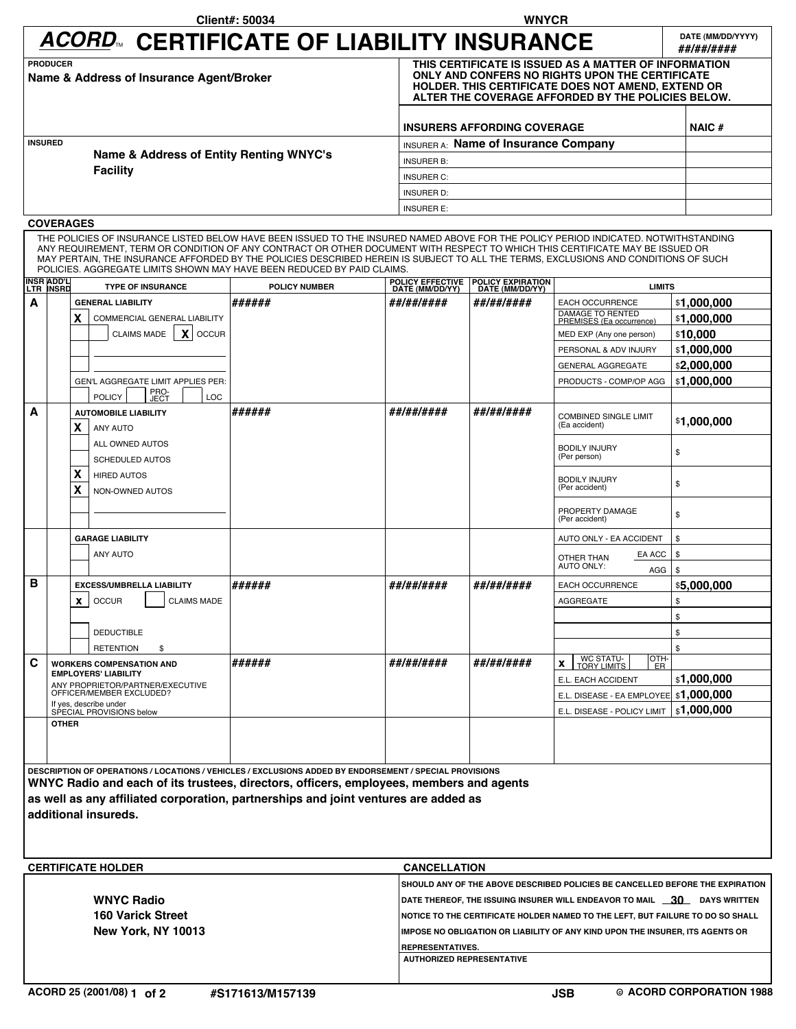| ACORD™ CERTIFICATE OF LIABILITY INSURANCE                   |                                                                                                                                                                                                                             | DATE (MM/DD/YYYY)<br>##/##/#### |  |  |
|-------------------------------------------------------------|-----------------------------------------------------------------------------------------------------------------------------------------------------------------------------------------------------------------------------|---------------------------------|--|--|
| <b>PRODUCER</b><br>Name & Address of Insurance Agent/Broker | THIS CERTIFICATE IS ISSUED AS A MATTER OF INFORMATION<br>ONLY AND CONFERS NO RIGHTS UPON THE CERTIFICATE<br><b>HOLDER. THIS CERTIFICATE DOES NOT AMEND, EXTEND OR</b><br>ALTER THE COVERAGE AFFORDED BY THE POLICIES BELOW. |                                 |  |  |
|                                                             | <b>INSURERS AFFORDING COVERAGE</b>                                                                                                                                                                                          | NAIC#                           |  |  |
| <b>INSURED</b>                                              | <b>INSURER A:</b> Name of Insurance Company                                                                                                                                                                                 |                                 |  |  |
| Name & Address of Entity Renting WNYC's                     | <b>INSURER B:</b>                                                                                                                                                                                                           |                                 |  |  |
| <b>Facility</b>                                             | <b>INSURER C:</b>                                                                                                                                                                                                           |                                 |  |  |
|                                                             | <b>INSURER D:</b>                                                                                                                                                                                                           |                                 |  |  |
|                                                             | <b>INSURER E:</b>                                                                                                                                                                                                           |                                 |  |  |

## **COVERAGES**

THE POLICIES OF INSURANCE LISTED BELOW HAVE BEEN ISSUED TO THE INSURED NAMED ABOVE FOR THE POLICY PERIOD INDICATED. NOTWITHSTANDING<br>ANY REQUIREMENT, TERM OR CONDITION OF ANY CONTRACT OR OTHER DOCUMENT WITH RESPECT TO WHICH

|                                                                                         | INSR ADD'L<br>LTR INSRD                                                                                                                                                              | <b>TYPE OF INSURANCE</b>                           | <b>POLICY NUMBER</b> | <b>POLICY EFFECTIVE</b><br>DATE (MM/DD/YY) | POLICY EXPIRATION<br>DATE (MM/DD/YY) | <b>LIMITS</b>                                |              |
|-----------------------------------------------------------------------------------------|--------------------------------------------------------------------------------------------------------------------------------------------------------------------------------------|----------------------------------------------------|----------------------|--------------------------------------------|--------------------------------------|----------------------------------------------|--------------|
| A                                                                                       |                                                                                                                                                                                      | <b>GENERAL LIABILITY</b>                           | ######               | ##/##/####                                 | ##/##/####                           | <b>EACH OCCURRENCE</b>                       | \$1,000,000  |
|                                                                                         |                                                                                                                                                                                      | X<br>COMMERCIAL GENERAL LIABILITY                  |                      |                                            |                                      | DAMAGE TO RENTED<br>PREMISES (Ea occurrence) | \$1.000.000  |
|                                                                                         |                                                                                                                                                                                      | X OCCUR<br><b>CLAIMS MADE</b>                      |                      |                                            |                                      | MED EXP (Any one person)                     | \$10,000     |
|                                                                                         |                                                                                                                                                                                      |                                                    |                      |                                            |                                      | PERSONAL & ADV INJURY                        | \$1,000,000  |
|                                                                                         |                                                                                                                                                                                      |                                                    |                      |                                            |                                      | <b>GENERAL AGGREGATE</b>                     | \$2,000,000  |
|                                                                                         |                                                                                                                                                                                      | <b>GEN'L AGGREGATE LIMIT APPLIES PER:</b>          |                      |                                            |                                      | PRODUCTS - COMP/OP AGG                       | \$1,000,000  |
|                                                                                         |                                                                                                                                                                                      | PRO-<br>JECT<br><b>POLICY</b><br><b>LOC</b>        |                      |                                            |                                      |                                              |              |
| A                                                                                       |                                                                                                                                                                                      | <b>AUTOMOBILE LIABILITY</b>                        | ######               | ##/##/####                                 | ##/##/####                           | <b>COMBINED SINGLE LIMIT</b>                 |              |
|                                                                                         |                                                                                                                                                                                      | X<br><b>ANY AUTO</b>                               |                      |                                            |                                      | (Ea accident)                                | \$1,000,000  |
|                                                                                         |                                                                                                                                                                                      | ALL OWNED AUTOS                                    |                      |                                            |                                      | <b>BODILY INJURY</b>                         | \$           |
|                                                                                         |                                                                                                                                                                                      | <b>SCHEDULED AUTOS</b>                             |                      |                                            |                                      | (Per person)                                 |              |
|                                                                                         |                                                                                                                                                                                      | X<br><b>HIRED AUTOS</b>                            |                      |                                            |                                      | <b>BODILY INJURY</b>                         | \$           |
|                                                                                         |                                                                                                                                                                                      | x<br>NON-OWNED AUTOS                               |                      |                                            |                                      | (Per accident)                               |              |
|                                                                                         |                                                                                                                                                                                      |                                                    |                      |                                            |                                      | PROPERTY DAMAGE<br>(Per accident)            | \$           |
|                                                                                         |                                                                                                                                                                                      | <b>GARAGE LIABILITY</b>                            |                      |                                            |                                      | AUTO ONLY - EA ACCIDENT                      | \$           |
|                                                                                         |                                                                                                                                                                                      | <b>ANY AUTO</b>                                    |                      |                                            |                                      | EA ACC                                       | \$           |
|                                                                                         |                                                                                                                                                                                      |                                                    |                      |                                            |                                      | OTHER THAN<br><b>AUTO ONLY:</b><br>AGG       | $\mathbf{s}$ |
| B                                                                                       |                                                                                                                                                                                      | <b>EXCESS/UMBRELLA LIABILITY</b>                   | ######               | ##/##/####                                 | ##/##/####                           | EACH OCCURRENCE                              | \$5,000,000  |
|                                                                                         |                                                                                                                                                                                      | <b>OCCUR</b><br><b>CLAIMS MADE</b><br>$\mathbf{x}$ |                      |                                            |                                      | AGGREGATE                                    | \$           |
|                                                                                         |                                                                                                                                                                                      |                                                    |                      |                                            |                                      |                                              | \$           |
|                                                                                         |                                                                                                                                                                                      | <b>DEDUCTIBLE</b>                                  |                      |                                            |                                      |                                              | \$           |
|                                                                                         |                                                                                                                                                                                      | <b>RETENTION</b><br>\$                             |                      |                                            |                                      |                                              | \$           |
| C                                                                                       | <b>WORKERS COMPENSATION AND</b><br><b>EMPLOYERS' LIABILITY</b><br>ANY PROPRIETOR/PARTNER/EXECUTIVE<br>OFFICER/MEMBER EXCLUDED?<br>If yes, describe under<br>SPECIAL PROVISIONS below |                                                    | ######               | ##/##/####                                 | ##/##/####                           | WC STATU-<br>TORY LIMITS<br>OTH-<br>X<br>ER  |              |
|                                                                                         |                                                                                                                                                                                      |                                                    |                      |                                            |                                      | E.L. EACH ACCIDENT                           | \$1,000,000  |
|                                                                                         |                                                                                                                                                                                      |                                                    |                      |                                            |                                      | E.L. DISEASE - EA EMPLOYEE \$1,000,000       |              |
|                                                                                         |                                                                                                                                                                                      |                                                    |                      |                                            |                                      | E.L. DISEASE - POLICY LIMIT                  | \$1,000,000  |
|                                                                                         | <b>OTHER</b>                                                                                                                                                                         |                                                    |                      |                                            |                                      |                                              |              |
|                                                                                         |                                                                                                                                                                                      |                                                    |                      |                                            |                                      |                                              |              |
|                                                                                         |                                                                                                                                                                                      |                                                    |                      |                                            |                                      |                                              |              |
|                                                                                         | DESCRIPTION OF OPERATIONS / LOCATIONS / VEHICLES / EXCLUSIONS ADDED BY ENDORSEMENT / SPECIAL PROVISIONS                                                                              |                                                    |                      |                                            |                                      |                                              |              |
| WNYC Radio and each of its trustees, directors, officers, employees, members and agents |                                                                                                                                                                                      |                                                    |                      |                                            |                                      |                                              |              |

**as well as any affiliated corporation, partnerships and joint ventures are added as additional insureds.** 

| <b>CERTIFICATE HOLDER</b> | <b>CANCELLATION</b>                                                                   |  |  |  |
|---------------------------|---------------------------------------------------------------------------------------|--|--|--|
|                           | <b>ISHOULD ANY OF THE ABOVE DESCRIBED POLICIES BE CANCELLED BEFORE THE EXPIRATION</b> |  |  |  |
| <b>WNYC Radio</b>         | DATE THEREOF, THE ISSUING INSURER WILL ENDEAVOR TO MAIL 30 DAYS WRITTEN               |  |  |  |
| <b>160 Varick Street</b>  | <b>NOTICE TO THE CERTIFICATE HOLDER NAMED TO THE LEFT, BUT FAILURE TO DO SO SHALL</b> |  |  |  |
| <b>New York, NY 10013</b> | IIMPOSE NO OBLIGATION OR LIABILITY OF ANY KIND UPON THE INSURER. ITS AGENTS OR        |  |  |  |
|                           | <b>REPRESENTATIVES.</b>                                                               |  |  |  |
|                           | <b>AUTHORIZED REPRESENTATIVE</b>                                                      |  |  |  |
|                           |                                                                                       |  |  |  |